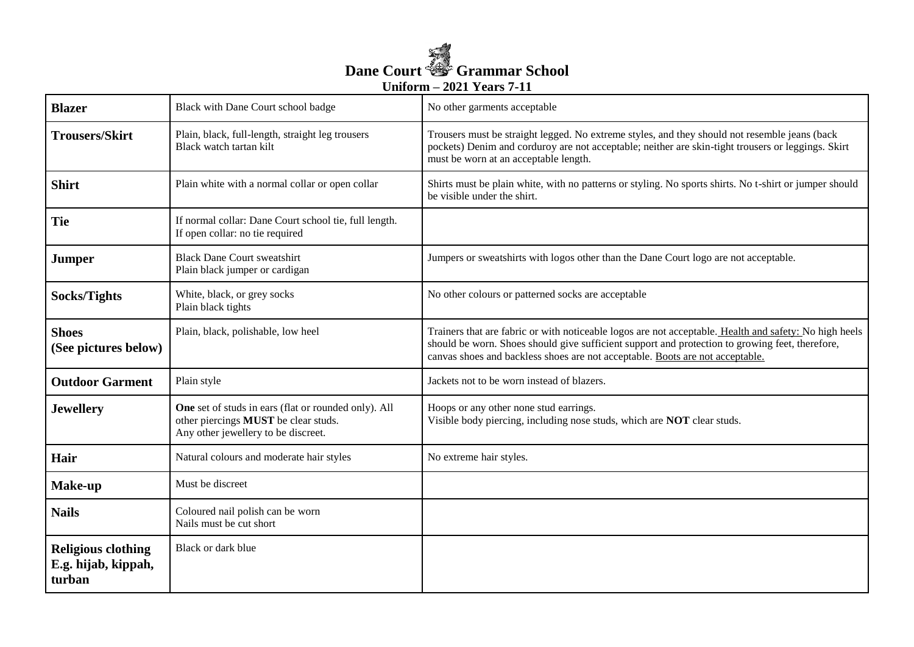

| <b>Blazer</b>                                              | Black with Dane Court school badge                                                                                                  | No other garments acceptable                                                                                                                                                                                                                                                               |
|------------------------------------------------------------|-------------------------------------------------------------------------------------------------------------------------------------|--------------------------------------------------------------------------------------------------------------------------------------------------------------------------------------------------------------------------------------------------------------------------------------------|
| <b>Trousers/Skirt</b>                                      | Plain, black, full-length, straight leg trousers<br>Black watch tartan kilt                                                         | Trousers must be straight legged. No extreme styles, and they should not resemble jeans (back<br>pockets) Denim and corduroy are not acceptable; neither are skin-tight trousers or leggings. Skirt<br>must be worn at an acceptable length.                                               |
| <b>Shirt</b>                                               | Plain white with a normal collar or open collar                                                                                     | Shirts must be plain white, with no patterns or styling. No sports shirts. No t-shirt or jumper should<br>be visible under the shirt.                                                                                                                                                      |
| Tie                                                        | If normal collar: Dane Court school tie, full length.<br>If open collar: no tie required                                            |                                                                                                                                                                                                                                                                                            |
| <b>Jumper</b>                                              | <b>Black Dane Court sweatshirt</b><br>Plain black jumper or cardigan                                                                | Jumpers or sweatshirts with logos other than the Dane Court logo are not acceptable.                                                                                                                                                                                                       |
| Socks/Tights                                               | White, black, or grey socks<br>Plain black tights                                                                                   | No other colours or patterned socks are acceptable                                                                                                                                                                                                                                         |
| <b>Shoes</b><br>(See pictures below)                       | Plain, black, polishable, low heel                                                                                                  | Trainers that are fabric or with noticeable logos are not acceptable. Health and safety: No high heels<br>should be worn. Shoes should give sufficient support and protection to growing feet, therefore,<br>canvas shoes and backless shoes are not acceptable. Boots are not acceptable. |
| <b>Outdoor Garment</b>                                     | Plain style                                                                                                                         | Jackets not to be worn instead of blazers.                                                                                                                                                                                                                                                 |
| <b>Jewellery</b>                                           | One set of studs in ears (flat or rounded only). All<br>other piercings MUST be clear studs.<br>Any other jewellery to be discreet. | Hoops or any other none stud earrings.<br>Visible body piercing, including nose studs, which are NOT clear studs.                                                                                                                                                                          |
| Hair                                                       | Natural colours and moderate hair styles                                                                                            | No extreme hair styles.                                                                                                                                                                                                                                                                    |
| Make-up                                                    | Must be discreet                                                                                                                    |                                                                                                                                                                                                                                                                                            |
| <b>Nails</b>                                               | Coloured nail polish can be worn<br>Nails must be cut short                                                                         |                                                                                                                                                                                                                                                                                            |
| <b>Religious clothing</b><br>E.g. hijab, kippah,<br>turban | Black or dark blue                                                                                                                  |                                                                                                                                                                                                                                                                                            |